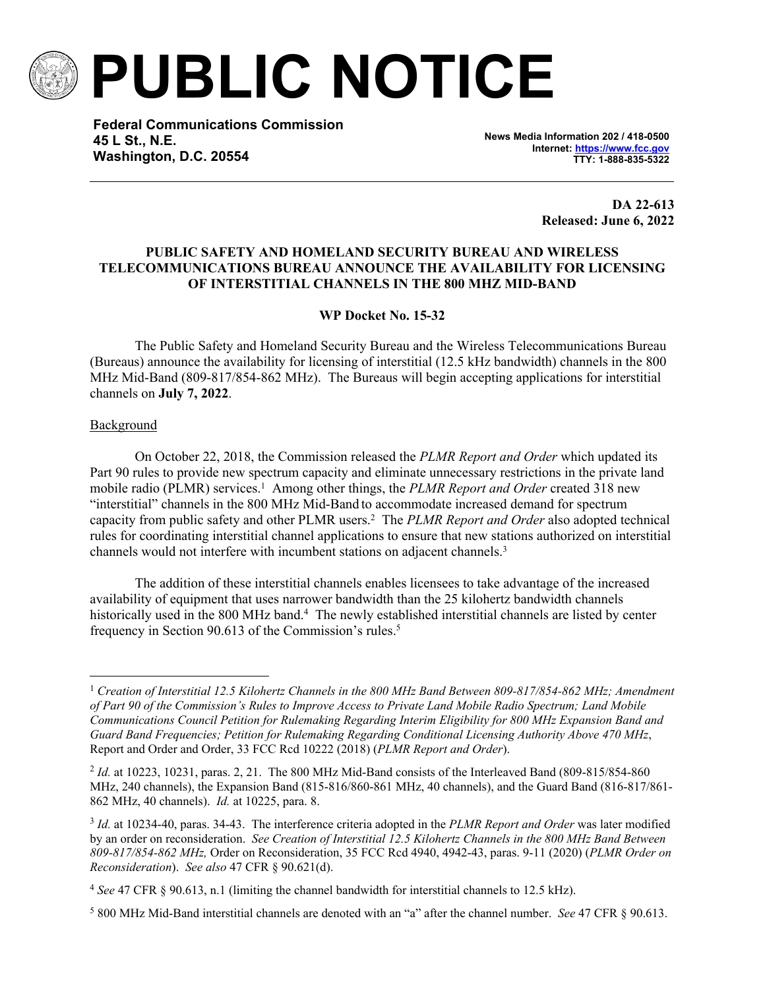

**PUBLIC NOTICE**

**Federal Communications Commission 45 L St., N.E. Washington, D.C. 20554**

**News Media Information 202 / 418-0500 Internet:<https://www.fcc.gov> TTY: 1-888-835-5322**

> **DA 22-613 Released: June 6, 2022**

# **PUBLIC SAFETY AND HOMELAND SECURITY BUREAU AND WIRELESS TELECOMMUNICATIONS BUREAU ANNOUNCE THE AVAILABILITY FOR LICENSING OF INTERSTITIAL CHANNELS IN THE 800 MHZ MID-BAND**

# **WP Docket No. 15-32**

The Public Safety and Homeland Security Bureau and the Wireless Telecommunications Bureau (Bureaus) announce the availability for licensing of interstitial (12.5 kHz bandwidth) channels in the 800 MHz Mid-Band (809-817/854-862 MHz). The Bureaus will begin accepting applications for interstitial channels on **July 7, 2022**.

#### **Background**

On October 22, 2018, the Commission released the *PLMR Report and Order* which updated its Part 90 rules to provide new spectrum capacity and eliminate unnecessary restrictions in the private land mobile radio (PLMR) services.<sup>1</sup> Among other things, the *PLMR Report and Order* created 318 new "interstitial" channels in the 800 MHz Mid-Band to accommodate increased demand for spectrum capacity from public safety and other PLMR users.<sup>2</sup> The *PLMR Report and Order* also adopted technical rules for coordinating interstitial channel applications to ensure that new stations authorized on interstitial channels would not interfere with incumbent stations on adjacent channels.<sup>3</sup>

The addition of these interstitial channels enables licensees to take advantage of the increased availability of equipment that uses narrower bandwidth than the 25 kilohertz bandwidth channels historically used in the 800 MHz band.<sup>4</sup> The newly established interstitial channels are listed by center frequency in Section 90.613 of the Commission's rules.<sup>5</sup>

<sup>1</sup> *Creation of Interstitial 12.5 Kilohertz Channels in the 800 MHz Band Between 809-817/854-862 MHz; Amendment of Part 90 of the Commission's Rules to Improve Access to Private Land Mobile Radio Spectrum; Land Mobile Communications Council Petition for Rulemaking Regarding Interim Eligibility for 800 MHz Expansion Band and Guard Band Frequencies; Petition for Rulemaking Regarding Conditional Licensing Authority Above 470 MHz*, Report and Order and Order, 33 FCC Rcd 10222 (2018) (*PLMR Report and Order*).

<sup>&</sup>lt;sup>2</sup> *Id.* at 10223, 10231, paras. 2, 21. The 800 MHz Mid-Band consists of the Interleaved Band (809-815/854-860) MHz, 240 channels), the Expansion Band (815-816/860-861 MHz, 40 channels), and the Guard Band (816-817/861- 862 MHz, 40 channels). *Id.* at 10225, para. 8.

<sup>3</sup> *Id.* at 10234-40, paras. 34-43. The interference criteria adopted in the *PLMR Report and Order* was later modified by an order on reconsideration. *See Creation of Interstitial 12.5 Kilohertz Channels in the 800 MHz Band Between 809-817/854-862 MHz,* Order on Reconsideration, 35 FCC Rcd 4940, 4942-43, paras. 9-11 (2020) (*PLMR Order on Reconsideration*). *See also* 47 CFR § 90.621(d).

<sup>4</sup> *See* 47 CFR § 90.613, n.1 (limiting the channel bandwidth for interstitial channels to 12.5 kHz).

<sup>5</sup> 800 MHz Mid-Band interstitial channels are denoted with an "a" after the channel number. *See* 47 CFR § 90.613.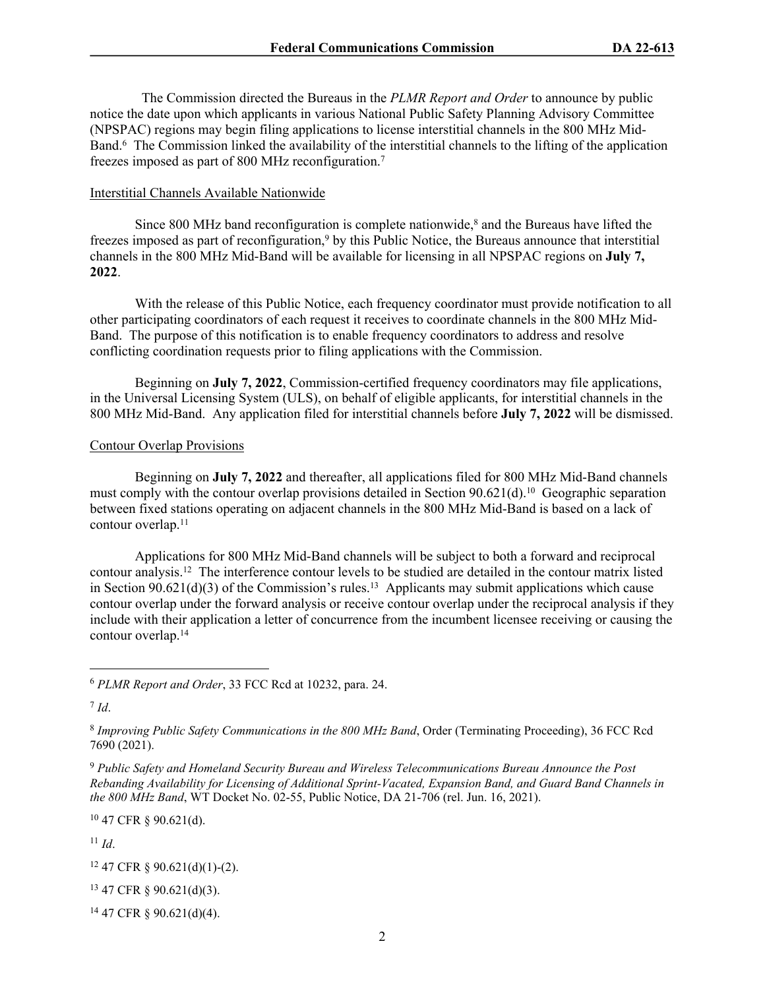The Commission directed the Bureaus in the *PLMR Report and Order* to announce by public notice the date upon which applicants in various National Public Safety Planning Advisory Committee (NPSPAC) regions may begin filing applications to license interstitial channels in the 800 MHz Mid-Band.<sup>6</sup> The Commission linked the availability of the interstitial channels to the lifting of the application freezes imposed as part of 800 MHz reconfiguration.<sup>7</sup>

#### Interstitial Channels Available Nationwide

Since 800 MHz band reconfiguration is complete nationwide, $\delta$  and the Bureaus have lifted the freezes imposed as part of reconfiguration,<sup>9</sup> by this Public Notice, the Bureaus announce that interstitial channels in the 800 MHz Mid-Band will be available for licensing in all NPSPAC regions on **July 7, 2022**.

With the release of this Public Notice, each frequency coordinator must provide notification to all other participating coordinators of each request it receives to coordinate channels in the 800 MHz Mid-Band. The purpose of this notification is to enable frequency coordinators to address and resolve conflicting coordination requests prior to filing applications with the Commission.

Beginning on **July 7, 2022**, Commission-certified frequency coordinators may file applications, in the Universal Licensing System (ULS), on behalf of eligible applicants, for interstitial channels in the 800 MHz Mid-Band. Any application filed for interstitial channels before **July 7, 2022** will be dismissed.

#### Contour Overlap Provisions

Beginning on **July 7, 2022** and thereafter, all applications filed for 800 MHz Mid-Band channels must comply with the contour overlap provisions detailed in Section 90.621(d).<sup>10</sup> Geographic separation between fixed stations operating on adjacent channels in the 800 MHz Mid-Band is based on a lack of contour overlap.<sup>11</sup>

Applications for 800 MHz Mid-Band channels will be subject to both a forward and reciprocal contour analysis.<sup>12</sup> The interference contour levels to be studied are detailed in the contour matrix listed in Section  $90.621(d)(3)$  of the Commission's rules.<sup>13</sup> Applicants may submit applications which cause contour overlap under the forward analysis or receive contour overlap under the reciprocal analysis if they include with their application a letter of concurrence from the incumbent licensee receiving or causing the contour overlap.<sup>14</sup>

7 *Id*.

<sup>10</sup> 47 CFR § 90.621(d).

 $11$  *Id.* 

<sup>12</sup> 47 CFR § 90.621(d)(1)-(2).

<sup>13</sup> 47 CFR § 90.621(d)(3).

14 47 CFR § 90.621(d)(4).

<sup>6</sup> *PLMR Report and Order*, 33 FCC Rcd at 10232, para. 24.

<sup>8</sup> *Improving Public Safety Communications in the 800 MHz Band*, Order (Terminating Proceeding), 36 FCC Rcd 7690 (2021).

<sup>9</sup> *Public Safety and Homeland Security Bureau and Wireless Telecommunications Bureau Announce the Post Rebanding Availability for Licensing of Additional Sprint-Vacated, Expansion Band, and Guard Band Channels in the 800 MHz Band*, WT Docket No. 02-55, Public Notice, DA 21-706 (rel. Jun. 16, 2021).